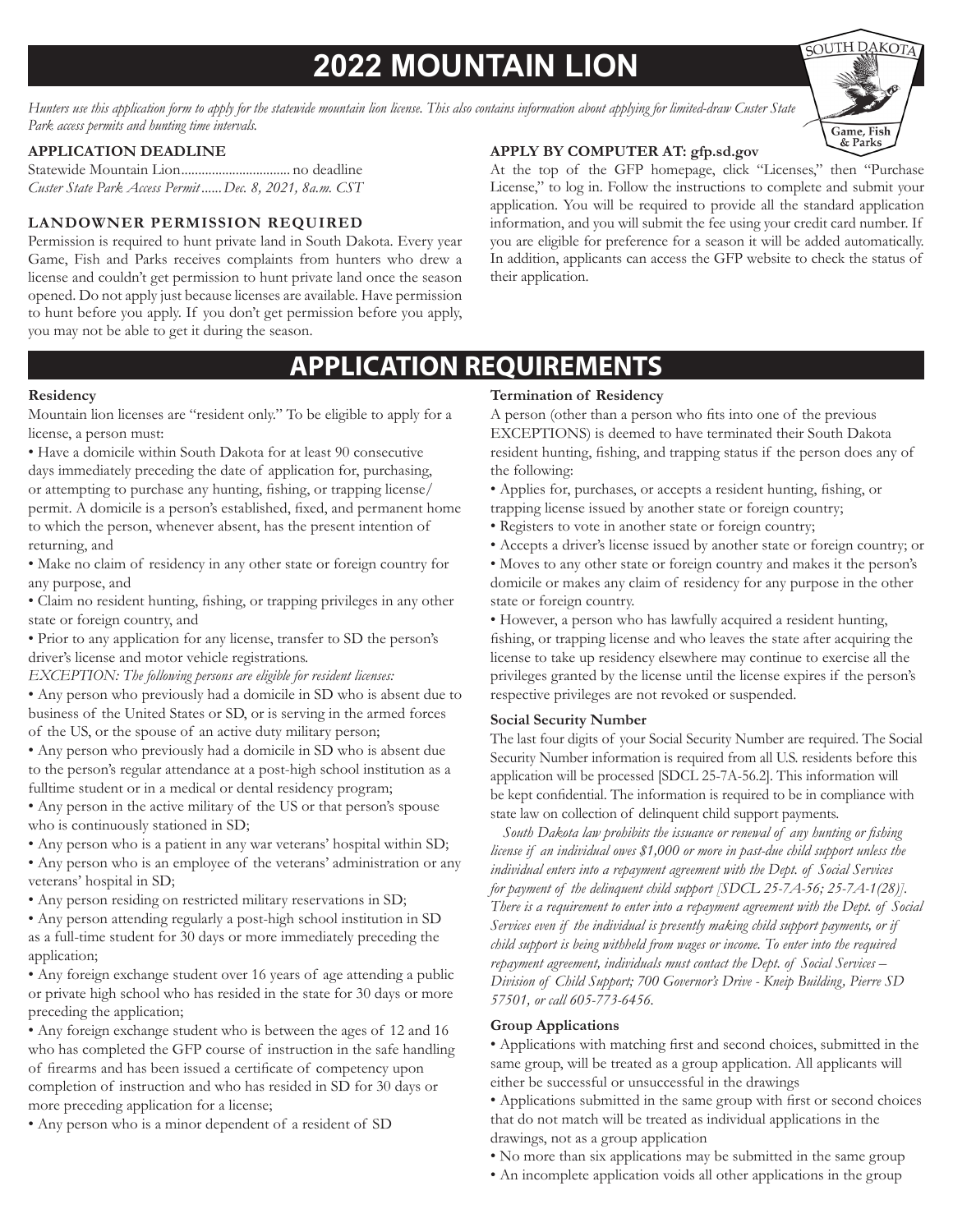# **2022 MOUNTAIN LION**

*Hunters use this application form to apply for the statewide mountain lion license. This also contains information about applying for limited-draw Custer State Park access permits and hunting time intervals.*

### **APPLICATION DEADLINE**

Statewide Mountain Lion................................ no deadline *Custer State Park Access Permit ......Dec. 8, 2021, 8a.m. CST*

### **LANDOWNER PERMISSION REQUIRED**

Permission is required to hunt private land in South Dakota. Every year Game, Fish and Parks receives complaints from hunters who drew a license and couldn't get permission to hunt private land once the season opened. Do not apply just because licenses are available. Have permission to hunt before you apply. If you don't get permission before you apply, you may not be able to get it during the season.

### **APPLY BY COMPUTER AT: gfp.sd.gov**

At the top of the GFP homepage, click "Licenses," then "Purchase License," to log in. Follow the instructions to complete and submit your application. You will be required to provide all the standard application information, and you will submit the fee using your credit card number. If you are eligible for preference for a season it will be added automatically. In addition, applicants can access the GFP website to check the status of their application.

## **APPLICATION REQUIREMENTS**

#### **Residency**

Mountain lion licenses are "resident only." To be eligible to apply for a license, a person must:

- Have a domicile within South Dakota for at least 90 consecutive days immediately preceding the date of application for, purchasing, or attempting to purchase any hunting, fishing, or trapping license/ permit. A domicile is a person's established, fixed, and permanent home to which the person, whenever absent, has the present intention of returning, and
- Make no claim of residency in any other state or foreign country for any purpose, and
- Claim no resident hunting, fishing, or trapping privileges in any other state or foreign country, and
- Prior to any application for any license, transfer to SD the person's driver's license and motor vehicle registrations.
- *EXCEPTION: The following persons are eligible for resident licenses:*
- Any person who previously had a domicile in SD who is absent due to business of the United States or SD, or is serving in the armed forces of the US, or the spouse of an active duty military person;
- Any person who previously had a domicile in SD who is absent due to the person's regular attendance at a post-high school institution as a fulltime student or in a medical or dental residency program;
- Any person in the active military of the US or that person's spouse who is continuously stationed in SD;
- Any person who is a patient in any war veterans' hospital within SD;
- Any person who is an employee of the veterans' administration or any veterans' hospital in SD;
- Any person residing on restricted military reservations in SD;
- Any person attending regularly a post-high school institution in SD as a full-time student for 30 days or more immediately preceding the application;
- Any foreign exchange student over 16 years of age attending a public or private high school who has resided in the state for 30 days or more preceding the application;
- Any foreign exchange student who is between the ages of 12 and 16 who has completed the GFP course of instruction in the safe handling of firearms and has been issued a certificate of competency upon completion of instruction and who has resided in SD for 30 days or more preceding application for a license;
- Any person who is a minor dependent of a resident of SD

### **Termination of Residency**

A person (other than a person who fits into one of the previous EXCEPTIONS) is deemed to have terminated their South Dakota resident hunting, fishing, and trapping status if the person does any of the following:

- Applies for, purchases, or accepts a resident hunting, fishing, or trapping license issued by another state or foreign country;
- Registers to vote in another state or foreign country;
- Accepts a driver's license issued by another state or foreign country; or
- Moves to any other state or foreign country and makes it the person's domicile or makes any claim of residency for any purpose in the other state or foreign country.

• However, a person who has lawfully acquired a resident hunting, fishing, or trapping license and who leaves the state after acquiring the license to take up residency elsewhere may continue to exercise all the privileges granted by the license until the license expires if the person's respective privileges are not revoked or suspended.

#### **Social Security Number**

The last four digits of your Social Security Number are required. The Social Security Number information is required from all U.S. residents before this application will be processed [SDCL 25-7A-56.2]. This information will be kept confidential. The information is required to be in compliance with state law on collection of delinquent child support payments.

 *South Dakota law prohibits the issuance or renewal of any hunting or fishing license if an individual owes \$1,000 or more in past-due child support unless the individual enters into a repayment agreement with the Dept. of Social Services for payment of the delinquent child support [SDCL 25-7A-56; 25-7A-1(28)]. There is a requirement to enter into a repayment agreement with the Dept. of Social Services even if the individual is presently making child support payments, or if child support is being withheld from wages or income. To enter into the required repayment agreement, individuals must contact the Dept. of Social Services – Division of Child Support; 700 Governor's Drive - Kneip Building, Pierre SD 57501, or call 605-773-6456.*

### **Group Applications**

• Applications with matching first and second choices, submitted in the same group, will be treated as a group application. All applicants will either be successful or unsuccessful in the drawings

• Applications submitted in the same group with first or second choices that do not match will be treated as individual applications in the drawings, not as a group application

- No more than six applications may be submitted in the same group
- An incomplete application voids all other applications in the group

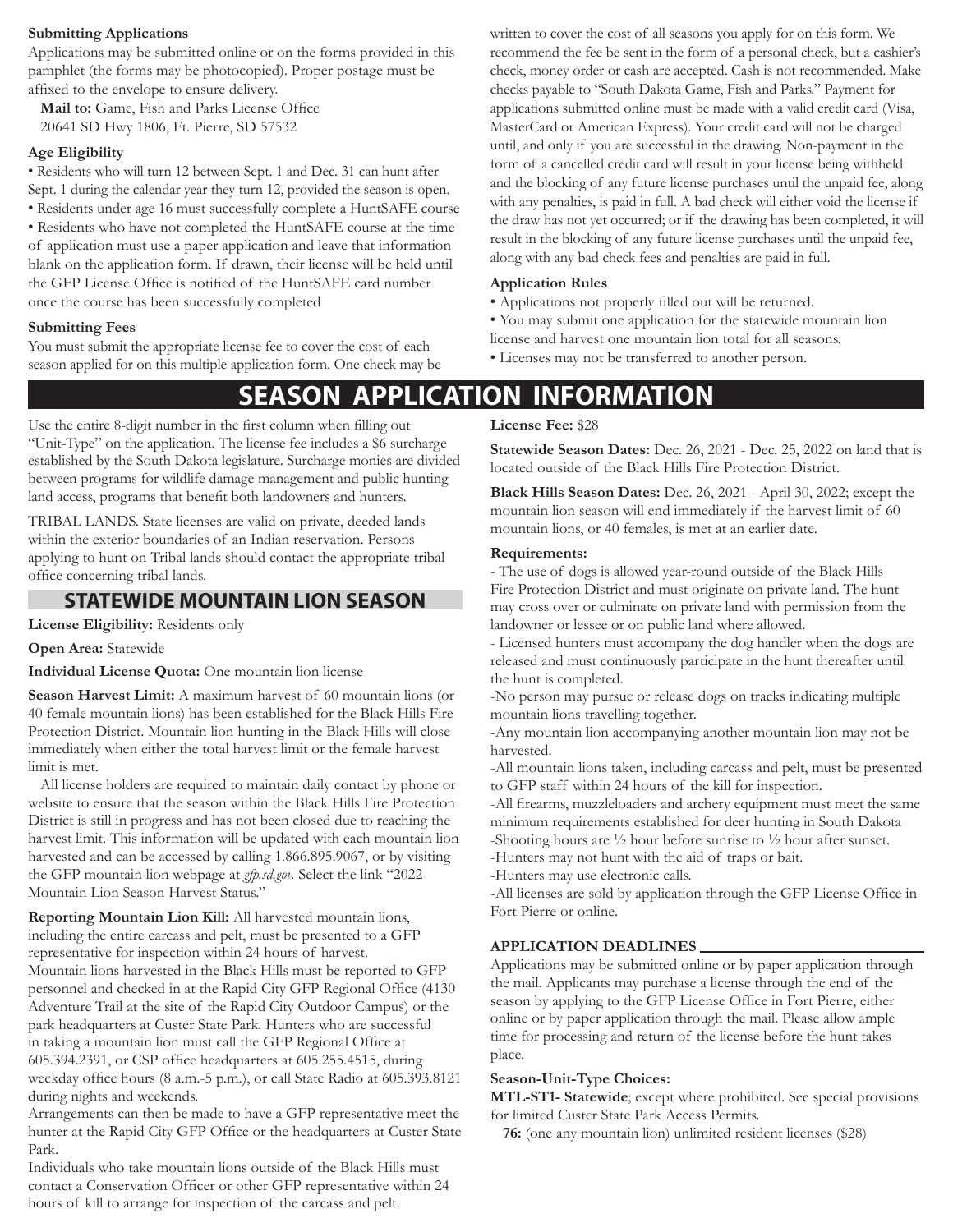### **Submitting Applications**

Applications may be submitted online or on the forms provided in this pamphlet (the forms may be photocopied). Proper postage must be affixed to the envelope to ensure delivery.

**Mail to:** Game, Fish and Parks License Office 20641 SD Hwy 1806, Ft. Pierre, SD 57532

### **Age Eligibility**

• Residents who will turn 12 between Sept. 1 and Dec. 31 can hunt after Sept. 1 during the calendar year they turn 12, provided the season is open.

• Residents under age 16 must successfully complete a HuntSAFE course

• Residents who have not completed the HuntSAFE course at the time of application must use a paper application and leave that information blank on the application form. If drawn, their license will be held until the GFP License Office is notified of the HuntSAFE card number once the course has been successfully completed

### **Submitting Fees**

You must submit the appropriate license fee to cover the cost of each season applied for on this multiple application form. One check may be written to cover the cost of all seasons you apply for on this form. We recommend the fee be sent in the form of a personal check, but a cashier's check, money order or cash are accepted. Cash is not recommended. Make checks payable to "South Dakota Game, Fish and Parks." Payment for applications submitted online must be made with a valid credit card (Visa, MasterCard or American Express). Your credit card will not be charged until, and only if you are successful in the drawing. Non-payment in the form of a cancelled credit card will result in your license being withheld and the blocking of any future license purchases until the unpaid fee, along with any penalties, is paid in full. A bad check will either void the license if the draw has not yet occurred; or if the drawing has been completed, it will result in the blocking of any future license purchases until the unpaid fee, along with any bad check fees and penalties are paid in full.

### **Application Rules**

- Applications not properly filled out will be returned.
- You may submit one application for the statewide mountain lion
- license and harvest one mountain lion total for all seasons.
- Licenses may not be transferred to another person.

### **SEASON APPLICATION INFORMATION**

Use the entire 8-digit number in the first column when filling out "Unit-Type" on the application. The license fee includes a \$6 surcharge established by the South Dakota legislature. Surcharge monies are divided between programs for wildlife damage management and public hunting land access, programs that benefit both landowners and hunters.

TRIBAL LANDS. State licenses are valid on private, deeded lands within the exterior boundaries of an Indian reservation. Persons applying to hunt on Tribal lands should contact the appropriate tribal office concerning tribal lands.

### **STATEWIDE MOUNTAIN LION SEASON**

**License Eligibility:** Residents only

**Open Area:** Statewide

**Individual License Quota:** One mountain lion license

**Season Harvest Limit:** A maximum harvest of 60 mountain lions (or 40 female mountain lions) has been established for the Black Hills Fire Protection District. Mountain lion hunting in the Black Hills will close immediately when either the total harvest limit or the female harvest limit is met.

All license holders are required to maintain daily contact by phone or website to ensure that the season within the Black Hills Fire Protection District is still in progress and has not been closed due to reaching the harvest limit. This information will be updated with each mountain lion harvested and can be accessed by calling 1.866.895.9067, or by visiting the GFP mountain lion webpage at *gfp.sd.gov.* Select the link "2022 Mountain Lion Season Harvest Status."

**Reporting Mountain Lion Kill:** All harvested mountain lions, including the entire carcass and pelt, must be presented to a GFP representative for inspection within 24 hours of harvest. Mountain lions harvested in the Black Hills must be reported to GFP personnel and checked in at the Rapid City GFP Regional Office (4130 Adventure Trail at the site of the Rapid City Outdoor Campus) or the park headquarters at Custer State Park. Hunters who are successful in taking a mountain lion must call the GFP Regional Office at 605.394.2391, or CSP office headquarters at 605.255.4515, during weekday office hours (8 a.m.-5 p.m.), or call State Radio at 605.393.8121 during nights and weekends.

Arrangements can then be made to have a GFP representative meet the hunter at the Rapid City GFP Office or the headquarters at Custer State Park.

Individuals who take mountain lions outside of the Black Hills must contact a Conservation Officer or other GFP representative within 24 hours of kill to arrange for inspection of the carcass and pelt.

**License Fee:** \$28

**Statewide Season Dates:** Dec. 26, 2021 - Dec. 25, 2022 on land that is located outside of the Black Hills Fire Protection District.

**Black Hills Season Dates:** Dec. 26, 2021 - April 30, 2022; except the mountain lion season will end immediately if the harvest limit of 60 mountain lions, or 40 females, is met at an earlier date.

#### **Requirements:**

- The use of dogs is allowed year-round outside of the Black Hills Fire Protection District and must originate on private land. The hunt may cross over or culminate on private land with permission from the landowner or lessee or on public land where allowed.

- Licensed hunters must accompany the dog handler when the dogs are released and must continuously participate in the hunt thereafter until the hunt is completed.

-No person may pursue or release dogs on tracks indicating multiple mountain lions travelling together.

-Any mountain lion accompanying another mountain lion may not be harvested.

-All mountain lions taken, including carcass and pelt, must be presented to GFP staff within 24 hours of the kill for inspection.

-All firearms, muzzleloaders and archery equipment must meet the same minimum requirements established for deer hunting in South Dakota -Shooting hours are ½ hour before sunrise to ½ hour after sunset.

-Hunters may not hunt with the aid of traps or bait.

-Hunters may use electronic calls.

-All licenses are sold by application through the GFP License Office in Fort Pierre or online.

### **APPLICATION DEADLINES**

Applications may be submitted online or by paper application through the mail. Applicants may purchase a license through the end of the season by applying to the GFP License Office in Fort Pierre, either online or by paper application through the mail. Please allow ample time for processing and return of the license before the hunt takes place.

### **Season-Unit-Type Choices:**

**MTL-ST1- Statewide**; except where prohibited. See special provisions for limited Custer State Park Access Permits.

**76:** (one any mountain lion) unlimited resident licenses (\$28)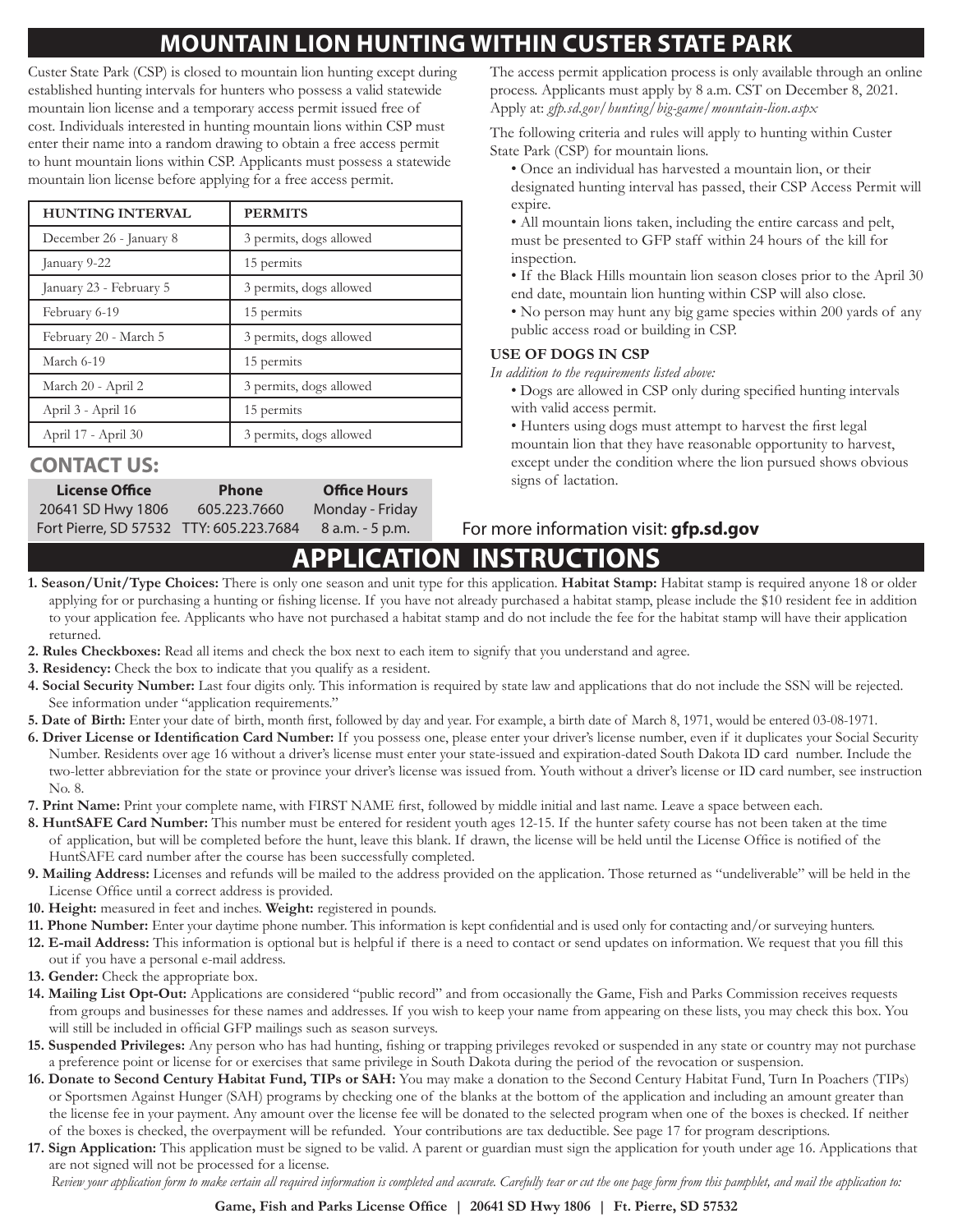## **MOUNTAIN LION HUNTING WITHIN CUSTER STATE PARK**

Custer State Park (CSP) is closed to mountain lion hunting except during established hunting intervals for hunters who possess a valid statewide mountain lion license and a temporary access permit issued free of cost. Individuals interested in hunting mountain lions within CSP must enter their name into a random drawing to obtain a free access permit to hunt mountain lions within CSP. Applicants must possess a statewide mountain lion license before applying for a free access permit.

| <b>HUNTING INTERVAL</b> | <b>PERMITS</b>          |
|-------------------------|-------------------------|
| December 26 - January 8 | 3 permits, dogs allowed |
| January 9-22            | 15 permits              |
| January 23 - February 5 | 3 permits, dogs allowed |
| February 6-19           | 15 permits              |
| February 20 - March 5   | 3 permits, dogs allowed |
| March 6-19              | 15 permits              |
| March 20 - April 2      | 3 permits, dogs allowed |
| April 3 - April 16      | 15 permits              |
| April 17 - April 30     | 3 permits, dogs allowed |

### **CONTACT US:**

| <b>License Office</b>                   | <b>Phone</b> | <b>Office Hours</b> |  |  |  |
|-----------------------------------------|--------------|---------------------|--|--|--|
| 20641 SD Hwy 1806                       | 605.223.7660 | Monday - Friday     |  |  |  |
| Fort Pierre, SD 57532 TTY: 605.223.7684 |              | $8$ a.m. $-5$ p.m.  |  |  |  |

The access permit application process is only available through an online process. Applicants must apply by 8 a.m. CST on December 8, 2021. Apply at: *gfp.sd.gov/hunting/big-game/mountain-lion.aspx*

The following criteria and rules will apply to hunting within Custer State Park (CSP) for mountain lions.

- Once an individual has harvested a mountain lion, or their designated hunting interval has passed, their CSP Access Permit will expire.
- All mountain lions taken, including the entire carcass and pelt, must be presented to GFP staff within 24 hours of the kill for inspection.
- If the Black Hills mountain lion season closes prior to the April 30 end date, mountain lion hunting within CSP will also close.
- No person may hunt any big game species within 200 yards of any public access road or building in CSP.

### **USE OF DOGS IN CSP**

*In addition to the requirements listed above:* 

- Dogs are allowed in CSP only during specified hunting intervals with valid access permit.
- Hunters using dogs must attempt to harvest the first legal mountain lion that they have reasonable opportunity to harvest, except under the condition where the lion pursued shows obvious signs of lactation.

### 8 a.m. - 5 p.m. For more information visit: **gfp.sd.gov**

# **APPLICATION INSTRUCTIONS**

- **1. Season/Unit/Type Choices:** There is only one season and unit type for this application. **Habitat Stamp:** Habitat stamp is required anyone 18 or older applying for or purchasing a hunting or fishing license. If you have not already purchased a habitat stamp, please include the \$10 resident fee in addition to your application fee. Applicants who have not purchased a habitat stamp and do not include the fee for the habitat stamp will have their application returned.
- **2. Rules Checkboxes:** Read all items and check the box next to each item to signify that you understand and agree.
- **3. Residency:** Check the box to indicate that you qualify as a resident.
- **4. Social Security Number:** Last four digits only. This information is required by state law and applications that do not include the SSN will be rejected. See information under "application requirements."
- **5. Date of Birth:** Enter your date of birth, month first, followed by day and year. For example, a birth date of March 8, 1971, would be entered 03-08-1971.
- **6. Driver License or Identification Card Number:** If you possess one, please enter your driver's license number, even if it duplicates your Social Security Number. Residents over age 16 without a driver's license must enter your state-issued and expiration-dated South Dakota ID card number. Include the two-letter abbreviation for the state or province your driver's license was issued from. Youth without a driver's license or ID card number, see instruction No. 8.
- **7. Print Name:** Print your complete name, with FIRST NAME first, followed by middle initial and last name. Leave a space between each.
- **8. HuntSAFE Card Number:** This number must be entered for resident youth ages 12-15. If the hunter safety course has not been taken at the time of application, but will be completed before the hunt, leave this blank. If drawn, the license will be held until the License Office is notified of the HuntSAFE card number after the course has been successfully completed.
- **9. Mailing Address:** Licenses and refunds will be mailed to the address provided on the application. Those returned as "undeliverable" will be held in the License Office until a correct address is provided.
- **10. Height:** measured in feet and inches. **Weight:** registered in pounds.
- **11. Phone Number:** Enter your daytime phone number. This information is kept confidential and is used only for contacting and/or surveying hunters.
- **12. E-mail Address:** This information is optional but is helpful if there is a need to contact or send updates on information. We request that you fill this out if you have a personal e-mail address.
- **13. Gender:** Check the appropriate box.
- **14. Mailing List Opt-Out:** Applications are considered "public record" and from occasionally the Game, Fish and Parks Commission receives requests from groups and businesses for these names and addresses. If you wish to keep your name from appearing on these lists, you may check this box. You will still be included in official GFP mailings such as season surveys.
- **15. Suspended Privileges:** Any person who has had hunting, fishing or trapping privileges revoked or suspended in any state or country may not purchase a preference point or license for or exercises that same privilege in South Dakota during the period of the revocation or suspension.
- **16. Donate to Second Century Habitat Fund, TIPs or SAH:** You may make a donation to the Second Century Habitat Fund, Turn In Poachers (TIPs) or Sportsmen Against Hunger (SAH) programs by checking one of the blanks at the bottom of the application and including an amount greater than the license fee in your payment. Any amount over the license fee will be donated to the selected program when one of the boxes is checked. If neither of the boxes is checked, the overpayment will be refunded. Your contributions are tax deductible. See page 17 for program descriptions.
- **17. Sign Application:** This application must be signed to be valid. A parent or guardian must sign the application for youth under age 16. Applications that are not signed will not be processed for a license.
	- *Review your application form to make certain all required information is completed and accurate. Carefully tear or cut the one page form from this pamphlet, and mail the application to:*